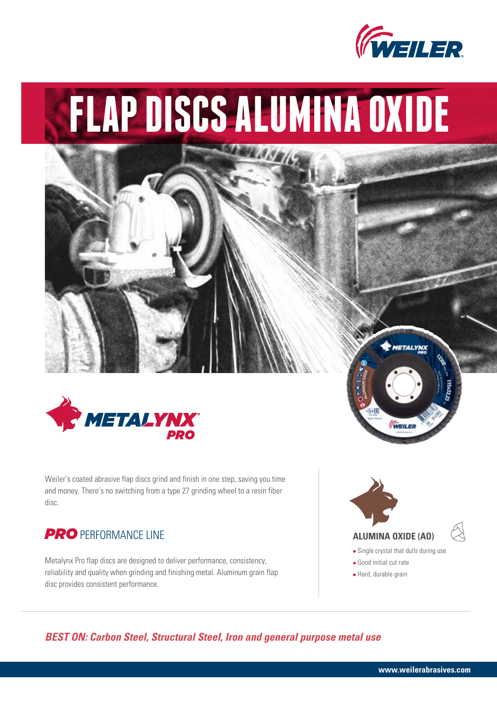

# **FLAP DISCS ALUMINA OXIDE**

**MA 3581** 



Weiler's coated abrasive flap discs grind and finish in one step, saving you time and money. There's no switching from a type 27 grinding wheel to a resin fiber disc.

## **PRO** PERFORMANCE LINE

Metalynx Pro flap discs are designed to deliver performance, consistency, reliability and quality when grinding and finishing metal. Aluminum grain flap disc provides consistent performance.



WEILE

*BEST ON: Carbon Steel, Structural Steel, Iron and general purpose metal use*